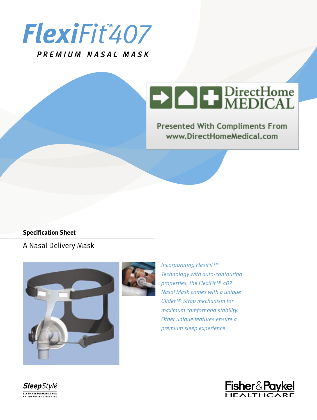

PREMIUM NASAL MASK

# **EXACT DirectHome**

**Presented With Compliments From** www.DirectHomeMedical.com

### **Specification Sheet**

## A Nasal Delivery Mask





*Incorporating FlexiFit™ Technology with auto-contouring properties, the FlexiFit™ 407 Nasal Mask comes with a unique Glider™ Strap mechanism for maximum comfort and stability. Other unique features ensure a premium sleep experience.*